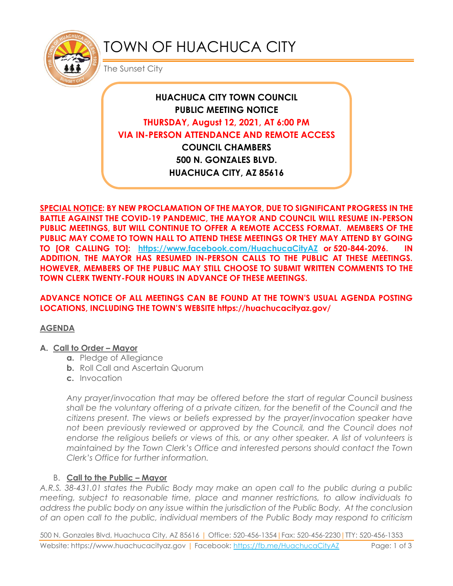

# TOWN OF HUACHUCA CITY

The Sunset City

# **HUACHUCA CITY TOWN COUNCIL PUBLIC MEETING NOTICE THURSDAY, August 12, 2021, AT 6:00 PM VIA IN-PERSON ATTENDANCE AND REMOTE ACCESS COUNCIL CHAMBERS**

**500 N. GONZALES BLVD. HUACHUCA CITY, AZ 85616**

**SPECIAL NOTICE: BY NEW PROCLAMATION OF THE MAYOR, DUE TO SIGNIFICANT PROGRESS IN THE BATTLE AGAINST THE COVID-19 PANDEMIC, THE MAYOR AND COUNCIL WILL RESUME IN-PERSON PUBLIC MEETINGS, BUT WILL CONTINUE TO OFFER A REMOTE ACCESS FORMAT. MEMBERS OF THE PUBLIC MAY COME TO TOWN HALL TO ATTEND THESE MEETINGS OR THEY MAY ATTEND BY GOING TO [OR CALLING TO]: <https://www.facebook.com/HuachucaCityAZ> or 520-844-2096. IN ADDITION, THE MAYOR HAS RESUMED IN-PERSON CALLS TO THE PUBLIC AT THESE MEETINGS. HOWEVER, MEMBERS OF THE PUBLIC MAY STILL CHOOSE TO SUBMIT WRITTEN COMMENTS TO THE TOWN CLERK TWENTY-FOUR HOURS IN ADVANCE OF THESE MEETINGS.** 

#### **ADVANCE NOTICE OF ALL MEETINGS CAN BE FOUND AT THE TOWN'S USUAL AGENDA POSTING LOCATIONS, INCLUDING THE TOWN'S WEBSITE https://huachucacityaz.gov/**

#### **AGENDA**

#### **A. Call to Order – Mayor**

- **a.** Pledge of Allegiance
- **b.** Roll Call and Ascertain Quorum
- **c.** Invocation

*Any prayer/invocation that may be offered before the start of regular Council business shall be the voluntary offering of a private citizen, for the benefit of the Council and the citizens present. The views or beliefs expressed by the prayer/invocation speaker have*  not been previously reviewed or approved by the Council, and the Council does not endorse the religious beliefs or views of this, or any other speaker. A list of volunteers is *maintained by the Town Clerk's Office and interested persons should contact the Town Clerk's Office for further information.*

#### B. **Call to the Public – Mayor**

*A.R.S. 38-431.01 states the Public Body may make an open call to the public during a public meeting, subject to reasonable time, place and manner restrictions, to allow individuals to address the public body on any issue within the jurisdiction of the Public Body. At the conclusion of an open call to the public, individual members of the Public Body may respond to criticism* 

500 N. Gonzales Blvd, Huachuca City, AZ 85616 | Office: 520-456-1354|Fax: 520-456-2230|TTY: 520-456-1353 Website: https://www.huachucacityaz.gov | Facebook:<https://fb.me/HuachucaCityAZ> Page: 1 of 3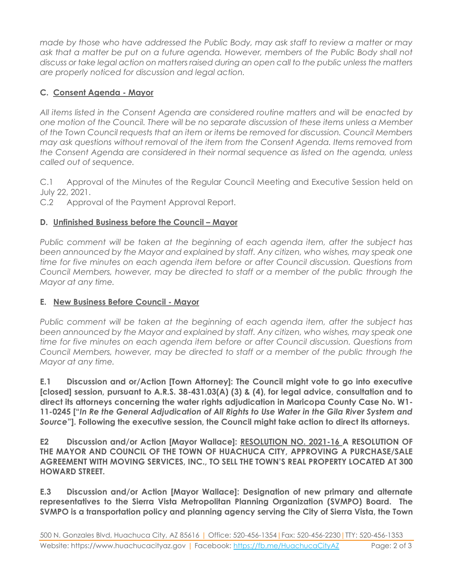*made by those who have addressed the Public Body, may ask staff to review a matter or may ask that a matter be put on a future agenda. However, members of the Public Body shall not discuss or take legal action on matters raised during an open call to the public unless the matters are properly noticed for discussion and legal action.*

## **C. Consent Agenda - Mayor**

*All items listed in the Consent Agenda are considered routine matters and will be enacted by one motion of the Council. There will be no separate discussion of these items unless a Member of the Town Council requests that an item or items be removed for discussion. Council Members may ask questions without removal of the item from the Consent Agenda. Items removed from the Consent Agenda are considered in their normal sequence as listed on the agenda, unless called out of sequence.*

C.1 Approval of the Minutes of the Regular Council Meeting and Executive Session held on July 22, 2021.

C.2 Approval of the Payment Approval Report.

## **D. Unfinished Business before the Council – Mayor**

*Public comment will be taken at the beginning of each agenda item, after the subject has been announced by the Mayor and explained by staff. Any citizen, who wishes, may speak one time for five minutes on each agenda item before or after Council discussion. Questions from Council Members, however, may be directed to staff or a member of the public through the Mayor at any time.*

#### **E. New Business Before Council - Mayor**

*Public comment will be taken at the beginning of each agenda item, after the subject has been announced by the Mayor and explained by staff. Any citizen, who wishes, may speak one time for five minutes on each agenda item before or after Council discussion. Questions from Council Members, however, may be directed to staff or a member of the public through the Mayor at any time.* 

**E.1 Discussion and or/Action [Town Attorney]: The Council might vote to go into executive [closed] session, pursuant to A.R.S. 38-431.03(A) (3) & (4), for legal advice, consultation and to direct its attorneys concerning the water rights adjudication in Maricopa County Case No. W1- 11-0245 ["***In Re the General Adjudication of All Rights to Use Water in the Gila River System and Source***"]. Following the executive session, the Council might take action to direct its attorneys.**

**E2 Discussion and/or Action [Mayor Wallace]: RESOLUTION NO. 2021-16 A RESOLUTION OF THE MAYOR AND COUNCIL OF THE TOWN OF HUACHUCA CITY, APPROVING A PURCHASE/SALE AGREEMENT WITH MOVING SERVICES, INC., TO SELL THE TOWN'S REAL PROPERTY LOCATED AT 300 HOWARD STREET.**

**E.3 Discussion and/or Action [Mayor Wallace]: Designation of new primary and alternate representatives to the Sierra Vista Metropolitan Planning Organization (SVMPO) Board. The SVMPO is a transportation policy and planning agency serving the City of Sierra Vista, the Town**